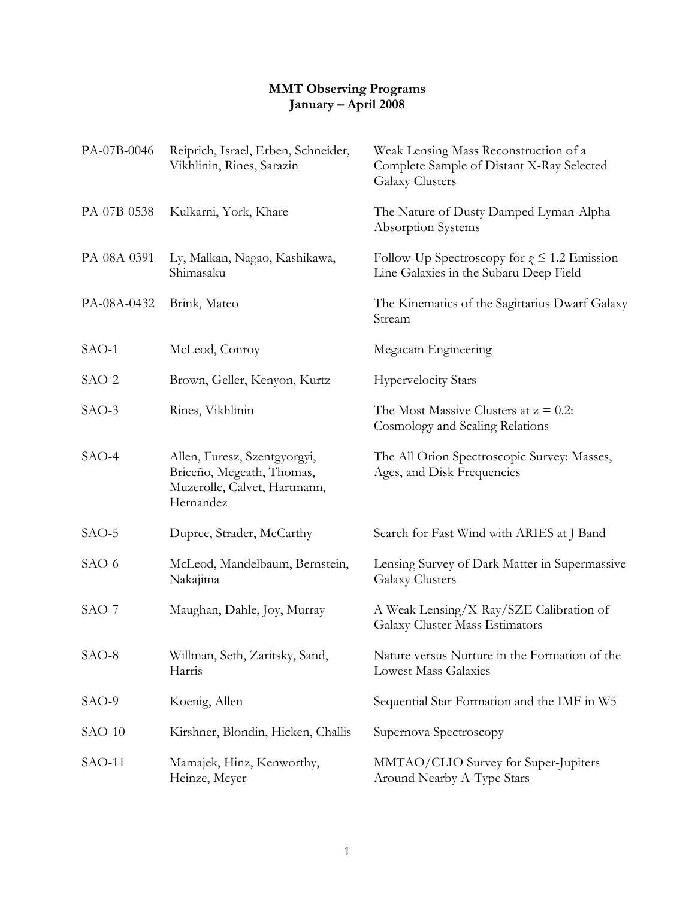## **MMT Observing Programs January – April 2008**

| PA-07B-0046 | Reiprich, Israel, Erben, Schneider,<br>Vikhlinin, Rines, Sarazin                                       | Weak Lensing Mass Reconstruction of a<br>Complete Sample of Distant X-Ray Selected<br><b>Galaxy Clusters</b> |
|-------------|--------------------------------------------------------------------------------------------------------|--------------------------------------------------------------------------------------------------------------|
| PA-07B-0538 | Kulkarni, York, Khare                                                                                  | The Nature of Dusty Damped Lyman-Alpha<br>Absorption Systems                                                 |
| PA-08A-0391 | Ly, Malkan, Nagao, Kashikawa,<br>Shimasaku                                                             | Follow-Up Spectroscopy for $\gamma \leq 1.2$ Emission-<br>Line Galaxies in the Subaru Deep Field             |
| PA-08A-0432 | Brink, Mateo                                                                                           | The Kinematics of the Sagittarius Dwarf Galaxy<br>Stream                                                     |
| SAO-1       | McLeod, Conroy                                                                                         | Megacam Engineering                                                                                          |
| SAO-2       | Brown, Geller, Kenyon, Kurtz                                                                           | <b>Hypervelocity Stars</b>                                                                                   |
| $SAO-3$     | Rines, Vikhlinin                                                                                       | The Most Massive Clusters at $z = 0.2$ :<br>Cosmology and Scaling Relations                                  |
| $SAO-4$     | Allen, Furesz, Szentgyorgyi,<br>Briceño, Megeath, Thomas,<br>Muzerolle, Calvet, Hartmann,<br>Hernandez | The All Orion Spectroscopic Survey: Masses,<br>Ages, and Disk Frequencies                                    |
| $SAO-5$     | Dupree, Strader, McCarthy                                                                              | Search for Fast Wind with ARIES at J Band                                                                    |
| SAO-6       | McLeod, Mandelbaum, Bernstein,<br>Nakajima                                                             | Lensing Survey of Dark Matter in Supermassive<br><b>Galaxy Clusters</b>                                      |
| $SAO-7$     | Maughan, Dahle, Joy, Murray                                                                            | A Weak Lensing/X-Ray/SZE Calibration of<br>Galaxy Cluster Mass Estimators                                    |
| SAO-8       | Willman, Seth, Zaritsky, Sand,<br>Harris                                                               | Nature versus Nurture in the Formation of the<br><b>Lowest Mass Galaxies</b>                                 |
| SAO-9       | Koenig, Allen                                                                                          | Sequential Star Formation and the IMF in W5                                                                  |
| $SAO-10$    | Kirshner, Blondin, Hicken, Challis                                                                     | Supernova Spectroscopy                                                                                       |
| $SAO-11$    | Mamajek, Hinz, Kenworthy,<br>Heinze, Meyer                                                             | MMTAO/CLIO Survey for Super-Jupiters<br>Around Nearby A-Type Stars                                           |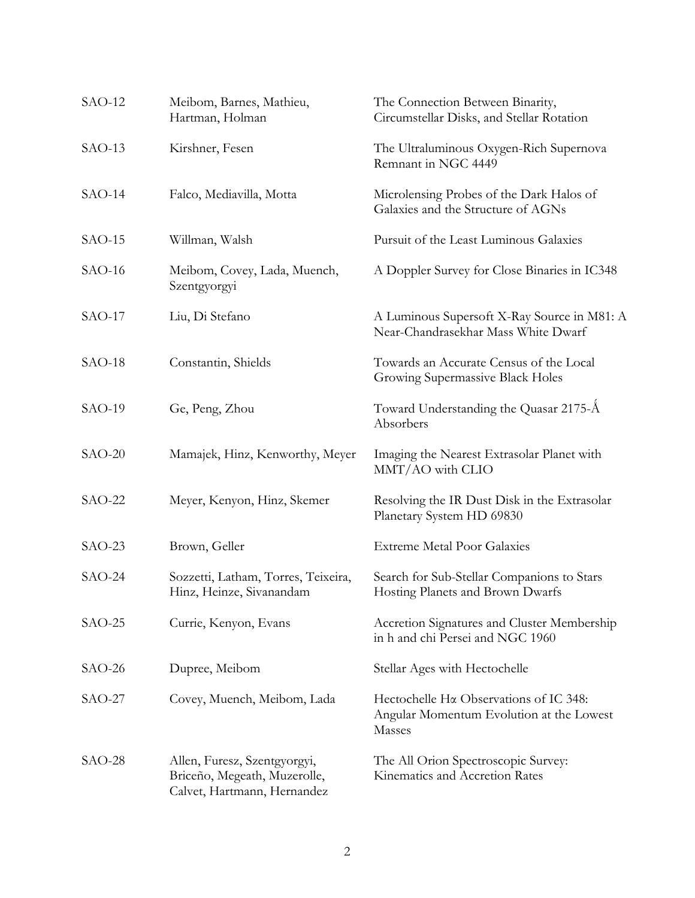| $SAO-12$ | Meibom, Barnes, Mathieu,<br>Hartman, Holman                                                 | The Connection Between Binarity,<br>Circumstellar Disks, and Stellar Rotation                |
|----------|---------------------------------------------------------------------------------------------|----------------------------------------------------------------------------------------------|
| $SAO-13$ | Kirshner, Fesen                                                                             | The Ultraluminous Oxygen-Rich Supernova<br>Remnant in NGC 4449                               |
| $SAO-14$ | Falco, Mediavilla, Motta                                                                    | Microlensing Probes of the Dark Halos of<br>Galaxies and the Structure of AGNs               |
| $SAO-15$ | Willman, Walsh                                                                              | Pursuit of the Least Luminous Galaxies                                                       |
| $SAO-16$ | Meibom, Covey, Lada, Muench,<br>Szentgyorgyi                                                | A Doppler Survey for Close Binaries in IC348                                                 |
| $SAO-17$ | Liu, Di Stefano                                                                             | A Luminous Supersoft X-Ray Source in M81: A<br>Near-Chandrasekhar Mass White Dwarf           |
| $SAO-18$ | Constantin, Shields                                                                         | Towards an Accurate Census of the Local<br>Growing Supermassive Black Holes                  |
| $SAO-19$ | Ge, Peng, Zhou                                                                              | Toward Understanding the Quasar 2175-Å<br>Absorbers                                          |
| $SAO-20$ | Mamajek, Hinz, Kenworthy, Meyer                                                             | Imaging the Nearest Extrasolar Planet with<br>MMT/AO with CLIO                               |
| $SAO-22$ | Meyer, Kenyon, Hinz, Skemer                                                                 | Resolving the IR Dust Disk in the Extrasolar<br>Planetary System HD 69830                    |
| $SAO-23$ | Brown, Geller                                                                               | <b>Extreme Metal Poor Galaxies</b>                                                           |
| $SAO-24$ | Sozzetti, Latham, Torres, Teixeira,<br>Hinz, Heinze, Sivanandam                             | Search for Sub-Stellar Companions to Stars<br>Hosting Planets and Brown Dwarfs               |
| $SAO-25$ | Currie, Kenyon, Evans                                                                       | Accretion Signatures and Cluster Membership<br>in h and chi Persei and NGC 1960              |
| $SAO-26$ | Dupree, Meibom                                                                              | Stellar Ages with Hectochelle                                                                |
| $SAO-27$ | Covey, Muench, Meibom, Lada                                                                 | Hectochelle Ha Observations of IC 348:<br>Angular Momentum Evolution at the Lowest<br>Masses |
| $SAO-28$ | Allen, Furesz, Szentgyorgyi,<br>Briceño, Megeath, Muzerolle,<br>Calvet, Hartmann, Hernandez | The All Orion Spectroscopic Survey:<br>Kinematics and Accretion Rates                        |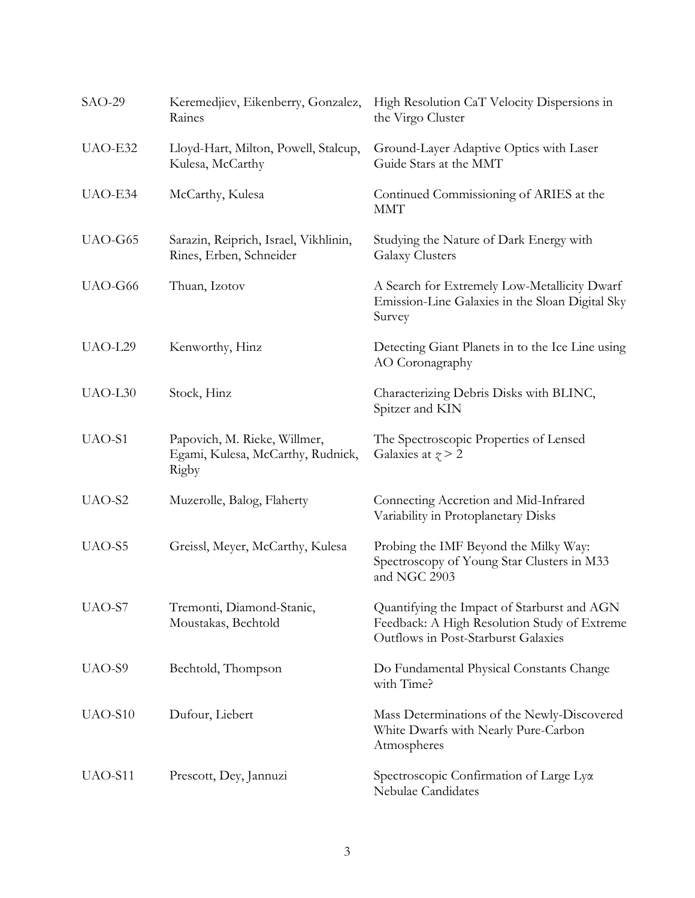| $SAO-29$            | Keremedjiev, Eikenberry, Gonzalez,<br>Raines                               | High Resolution CaT Velocity Dispersions in<br>the Virgo Cluster                                                                   |
|---------------------|----------------------------------------------------------------------------|------------------------------------------------------------------------------------------------------------------------------------|
| UAO-E32             | Lloyd-Hart, Milton, Powell, Stalcup,<br>Kulesa, McCarthy                   | Ground-Layer Adaptive Optics with Laser<br>Guide Stars at the MMT                                                                  |
| UAO-E34             | McCarthy, Kulesa                                                           | Continued Commissioning of ARIES at the<br><b>MMT</b>                                                                              |
| UAO-G65             | Sarazin, Reiprich, Israel, Vikhlinin,<br>Rines, Erben, Schneider           | Studying the Nature of Dark Energy with<br><b>Galaxy Clusters</b>                                                                  |
| UAO-G66             | Thuan, Izotov                                                              | A Search for Extremely Low-Metallicity Dwarf<br>Emission-Line Galaxies in the Sloan Digital Sky<br>Survey                          |
| UAO-L29             | Kenworthy, Hinz                                                            | Detecting Giant Planets in to the Ice Line using<br>AO Coronagraphy                                                                |
| UAO-L <sub>30</sub> | Stock, Hinz                                                                | Characterizing Debris Disks with BLINC,<br>Spitzer and KIN                                                                         |
| UAO-S1              | Papovich, M. Rieke, Willmer,<br>Egami, Kulesa, McCarthy, Rudnick,<br>Rigby | The Spectroscopic Properties of Lensed<br>Galaxies at $\gamma > 2$                                                                 |
| UAO-S2              | Muzerolle, Balog, Flaherty                                                 | Connecting Accretion and Mid-Infrared<br>Variability in Protoplanetary Disks                                                       |
| UAO-S5              | Greissl, Meyer, McCarthy, Kulesa                                           | Probing the IMF Beyond the Milky Way:<br>Spectroscopy of Young Star Clusters in M33<br>and NGC 2903                                |
| UAO-S7              | Tremonti, Diamond-Stanic,<br>Moustakas, Bechtold                           | Quantifying the Impact of Starburst and AGN<br>Feedback: A High Resolution Study of Extreme<br>Outflows in Post-Starburst Galaxies |
| UAO-S9              | Bechtold, Thompson                                                         | Do Fundamental Physical Constants Change<br>with Time?                                                                             |
| UAO-S10             | Dufour, Liebert                                                            | Mass Determinations of the Newly-Discovered<br>White Dwarfs with Nearly Pure-Carbon<br>Atmospheres                                 |
| UAO-S11             | Prescott, Dey, Jannuzi                                                     | Spectroscopic Confirmation of Large Lya<br>Nebulae Candidates                                                                      |